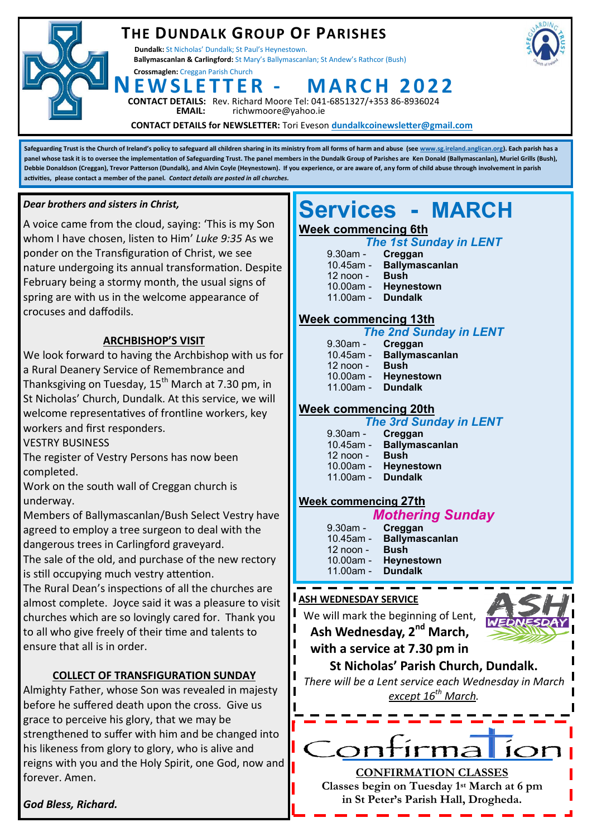## **THE DUNDALK GROUP OF PARISHES**

**Dundalk:** St Nicholas' Dundalk; St Paul's Heynestown. **Ballymascanlan & Carlingford:** St Mary's Ballymascanlan; St Andew's Rathcor (Bush)

**Crossmaglen:** Creggan Parish Church

**NE W S L E T T E R - M A R C H 2 0 2 2**





**DETAILS:** Rev. Richard Moore Tel: 041-6851327/+353 86-8936024<br>**EMAIL:** richwmoore@yahoo.ie **EMAIL:** richwmoore@yahoo.ie

**CONTACT DETAILS for NEWSLETTER:** Tori Eveson **dundalkcoinewsletter@gmail.com**

**Safeguarding Trust is the Church of Ireland's policy to safeguard all children sharing in its ministry from all forms of harm and abuse (see [www.sg.ireland.anglican.org\)](http://www.sg.ireland.anglican.org). Each parish has a panel whose task it is to oversee the implementation of Safeguarding Trust. The panel members in the Dundalk Group of Parishes are Ken Donald (Ballymascanlan), Muriel Grills (Bush), Debbie Donaldson (Creggan), Trevor Patterson (Dundalk), and Alvin Coyle (Heynestown). If you experience, or are aware of, any form of child abuse through involvement in parish activities, please contact a member of the panel.** *Contact details are posted in all churches.* 

#### *Dear brothers and sisters in Christ,*

A voice came from the cloud, saying: 'This is my Son whom I have chosen, listen to Him' *Luke 9:35* As we ponder on the Transfiguration of Christ, we see nature undergoing its annual transformation. Despite February being a stormy month, the usual signs of spring are with us in the welcome appearance of crocuses and daffodils.

#### **ARCHBISHOP'S VISIT**

We look forward to having the Archbishop with us for a Rural Deanery Service of Remembrance and Thanksgiving on Tuesday,  $15<sup>th</sup>$  March at 7.30 pm, in St Nicholas' Church, Dundalk. At this service, we will welcome representatives of frontline workers, key workers and first responders.

VESTRY BUSINESS

The register of Vestry Persons has now been completed.

Work on the south wall of Creggan church is underway.

Members of Ballymascanlan/Bush Select Vestry have agreed to employ a tree surgeon to deal with the dangerous trees in Carlingford graveyard.

The sale of the old, and purchase of the new rectory is still occupying much vestry attention.

The Rural Dean's inspections of all the churches are almost complete. Joyce said it was a pleasure to visit churches which are so lovingly cared for. Thank you to all who give freely of their time and talents to ensure that all is in order.

#### **COLLECT OF TRANSFIGURATION SUNDAY**

Almighty Father, whose Son was revealed in majesty before he suffered death upon the cross. Give us grace to perceive his glory, that we may be strengthened to suffer with him and be changed into his likeness from glory to glory, who is alive and reigns with you and the Holy Spirit, one God, now and forever. Amen.

# **Services - MARCH**

#### **Week commencing 6th**

| <b>The 1st Sunday in LENT</b> |  |  |
|-------------------------------|--|--|
|                               |  |  |

9.30am - **Creggan** 10.45am - **Ballymascanlan** 12 noon - **Bush** 10.00am - **Heynestown** 11.00am - **Dundalk**

#### **Week commencing 13th**

|                  | <b>The 2nd Sunday in LENT</b>        |
|------------------|--------------------------------------|
| 9.30am - Creggan |                                      |
| 10.45am -        | <b>Ballymascanlan</b>                |
| 12 noon -        | <b>Bush</b>                          |
| 40.00cm          | المتحدث والمناسب والمستحدث والمسالية |

- 10.00am **Heynestown**
- 11.00am **Dundalk**

#### **Week commencing 20th**

#### *The 3rd Sunday in LENT*

| 9.30am - Creggan |                       |
|------------------|-----------------------|
| 10.45am -        | <b>Ballymascanlan</b> |
| $12$ noon -      | <b>Bush</b>           |
| 10.00am -        | Heynestown            |
| 11.00am -        | <b>Dundalk</b>        |

#### **Week commencing 27th**

|  | <b>Mothering Sunday</b> |  |
|--|-------------------------|--|
|  |                         |  |

| 9.30am - Creggan                |                          |  |
|---------------------------------|--------------------------|--|
|                                 | 10.45am - Ballymascanlan |  |
| $12 \text{ noon} - \text{Bush}$ |                          |  |
|                                 | 10.00am - Heynestown     |  |
| $11.00am -$ Dundalk             |                          |  |

#### **ASH WEDNESDAY SERVICE**

We will mark the beginning of Lent,

**Ash Wednesday, 2nd March, with a service at 7.30 pm in** 



**St Nicholas' Parish Church, Dundalk.** 

*There will be a Lent service each Wednesday in March except 16th March.*

**CONFIRMATION CLASSES Classes begin on Tuesday 1st March at 6 pm in St Peter's Parish Hall, Drogheda.**

*God Bless, Richard.*